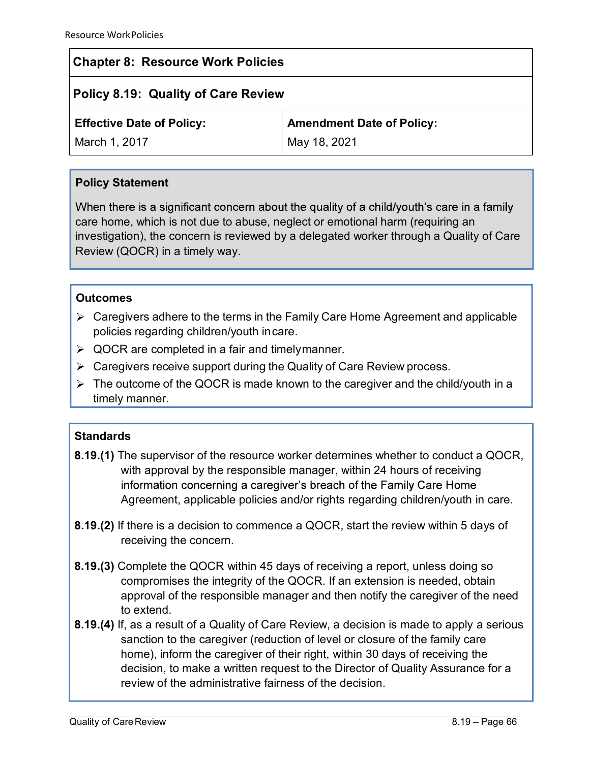# Chapter 8: Resource Work Policies

# Policy 8.19: Quality of Care Review

|  | <b>Effective Date of Policy:</b> |  |
|--|----------------------------------|--|
|--|----------------------------------|--|

Amendment Date of Policy:

March 1, 2017

May 18, 2021

## Policy Statement

care home, which is not due to abuse, neglect or emotional harm (requiring an investigation), the concern is reviewed by a delegated worker through a Quality of Care Review (QOCR) in a timely way. ective Date of Policy:<br>
Caregivers received May 18, 2021<br>
May 18, 2021<br>
Icy Statement<br>
en there is a significant concern about the quality of a child/youth's care in a family<br>
homeometric is not due to abuse, neglect or em

## **Outcomes**

- $\triangleright$  Caregivers adhere to the terms in the Family Care Home Agreement and applicable policies regarding children/youth in care.
- $\triangleright$  QOCR are completed in a fair and timely manner.
- 
- $\triangleright$  The outcome of the QOCR is made known to the caregiver and the child/youth in a timely manner.

## **Standards**

- 8.19.(1) The supervisor of the resource worker determines whether to conduct a QOCR, with approval by the responsible manager, within 24 hours of receiving information concerning a caregiver's breach of the Family Care Home Agreement, applicable policies and/or rights regarding children/youth in care.
- 8.19.(2) If there is a decision to commence a QOCR, start the review within 5 days of receiving the concern.
- 8.19.(3) Complete the QOCR within 45 days of receiving a report, unless doing so compromises the integrity of the QOCR. If an extension is needed, obtain approval of the responsible manager and then notify the caregiver of the need to extend.
- 8.19.(4) If, as a result of a Quality of Care Review, a decision is made to apply a serious sanction to the caregiver (reduction of level or closure of the family care home), inform the caregiver of their right, within 30 days of receiving the decision, to make a written request to the Director of Quality Assurance for a review of the administrative fairness of the decision.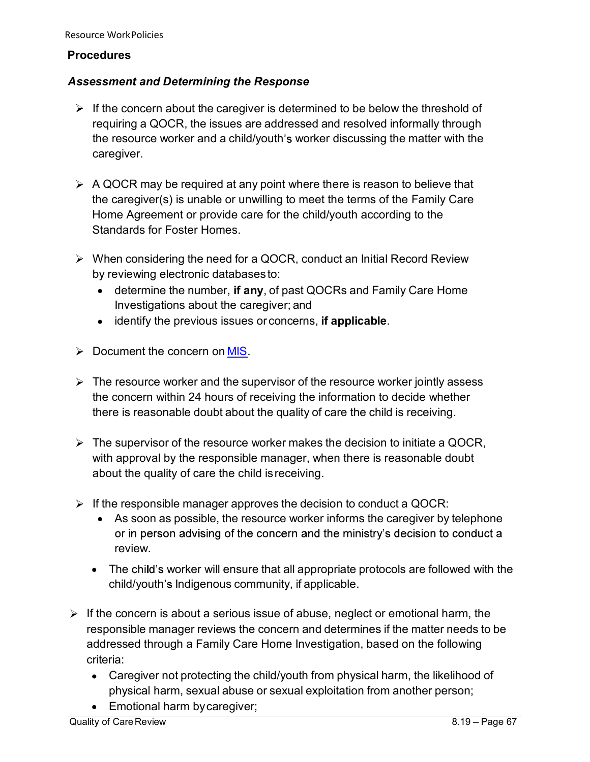#### **Procedures**

#### Assessment and Determining the Response

- $\triangleright$  If the concern about the caregiver is determined to be below the threshold of ree WorkPolicies<br> **Example 3**<br> **Example 3**<br>
If the concern about the caregiver is determined to be below the threshold of<br>
requiring a QOCR, the issues are addressed and resolved informally through<br>
the resource worker and the work Policies<br> **Sessment and Determining the Response**<br>
If the concern about the caregiver is determined to be below the threshold of<br>
requiring a QOCR, the issues are addressed and resolved informally through<br>
the res caregiver. rce WorkPolicies<br> **edures**<br> **If the concern about the caregiver is determined to be below the threshold of<br>
requiring a QOCR, the issues are addressed and resolved informally through<br>
the resource worker and a child/youth'** The work Policies<br>
Sessment and Determining the Response<br>
If the concern about the caregiver is determined to be below the threshold of<br>
requiring a QOCR, the issues are addressed and resolved informally through<br>
the resou
- the caregiver(s) is unable or unwilling to meet the terms of the Family Care Home Agreement or provide care for the child/youth according to the Standards for Foster Homes. the resource worker and a child/youth's worker discussing the matter with the caregiver(s) is unable or unwilling to meet the terms of the Family Care<br>Home Agreement or provide care for the child/youth according to the St
- by reviewing electronic databases to:
	- determine the number, if any, of past QOCRs and Family Care Home Investigations about the caregiver; and
	-
- 
- the concern within 24 hours of receiving the information to decide whether there is reasonable doubt about the quality of care the child is receiving.
- the caregiver(s) is unable or unwilling to meet the terms of the Family Care<br>Home Agreement or provide care for the child/youth according to the<br>Standards for Foster Homes.<br>When considering the need for a QOCR, conduct an with approval by the responsible manager, when there is reasonable doubt about the quality of care the child is receiving.
- 
- When considering the need for a QOCR, conduct an Initial Record Review<br>
by reviewing electronic databases to:<br>
 determine the number, if any, of past QOCRs and Family Care Home<br>
Investigations about the caregiver; and<br>
 reviewing electronic databases to:<br>
determine the number, if any, of past QOCRs and Family Care Home<br>
Investigations about the caregiver; and<br>
identify the previous issues or concerns, if applicable.<br>
Determined the concer review. cument the concern on <u>MIS</u>.<br>
eresource worker and the supervisor of the resource worker jointly assess<br>
concern within 24 hours of receiving the information to decide whether<br>
ere is reasonable doubt about the quality of
	- The child's worker will ensure that all appropriate protocols are followed with the
- $\triangleright$  If the concern is about a serious issue of abuse, neglect or emotional harm, the The resource worker and the supervisor of the resource worker jointly assess<br>the concern within 24 hours of receiving the information to decide whether<br>there is reasonable doubt about the quality of care the child is recei addressed through a Family Care Home Investigation, based on the following criteria:
	- Caregiver not protecting the child/youth from physical harm, the likelihood of physical harm, sexual abuse or sexual exploitation from another person;
	- Emotional harm by caregiver;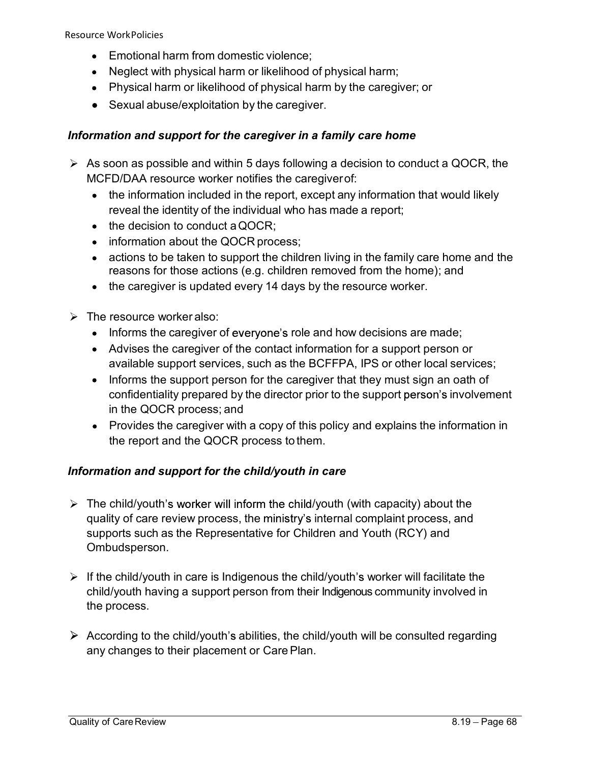Resource WorkPolicies

- **Emotional harm from domestic violence;**
- Neglect with physical harm or likelihood of physical harm;
- Physical harm or likelihood of physical harm by the caregiver; or
- Sexual abuse/exploitation by the caregiver.

#### Information and support for the caregiver in a family care home

- **As soon as possible and with a decision to conduct a QOCR**<br>
As decision of the decision of the categorer, or<br>
As soon as possible and within 5 days following a decision to conduct a QOCR, the<br>
MCFD/DAA resource worker not MCFD/DAA resource worker notifies the caregiver of: WorkPolicies<br>
Emotional harm from domestic violence;<br>
Neglect with physical harm or likelihood of physical harm;<br>
Physical harm or likelihood of physical harm by the caregiver; or<br>
Sexual abuse/exploitation by the caregive
	- the information included in the report, except any information that would likely
	- $\bullet$  the decision to conduct a QOCR:
	- information about the QOCR process;
	- actions to be taken to support the children living in the family care home and the reasons for those actions (e.g. children removed from the home); and Emotional harm from domestic violence;<br>
	Emotional harm or likelihood of physical harm;<br>
	Neglect with physical harm or likelihood of physical harm by the caregiver; or<br>
	Sexual abuse/exploitation by the caregiver.<br> **tion and**
	-
- $\triangleright$  The resource worker also:
	- $\bullet$  Informs the caregiver of everyone's role and how decisions are made;
	- Advises the caregiver of the contact information for a support person or available support services, such as the BCFFPA, IPS or other local services;
	- Informs the support person for the caregiver that they must sign an oath of confidentiality prepared by the director prior to the support person's involvement in the QOCR process; and
	- Provides the caregiver with a copy of this policy and explains the information in the report and the QOCR process to them.

## Information and support for the child/youth in care

- $\triangleright$  The child/youth's worker will inform the child/youth (with capacity) about the quality of care review process, the ministry's internal complaint process, and supports such as the Representative for Children and Youth (RCY) and Ombudsperson. • Informs the caregiver of everyone's role and how decisions are made;<br>
Advises the caregiver of the contact information for a support person or<br>
available support services, such as the BCFFPA, IPS or other local servic available support services, such as the BCFFPA, IPS or other<br>
• Informs the support person for the caregiver that they must si<br>
confidentiality prepared by the director prior to the support per<br>
in the QOCR process; and<br>
•
- child/youth having a support person from their Indigenous community involved in
- $\triangleright$  According to the child/youth's abilities, the child/youth will be consulted regarding any changes to their placement or Care Plan.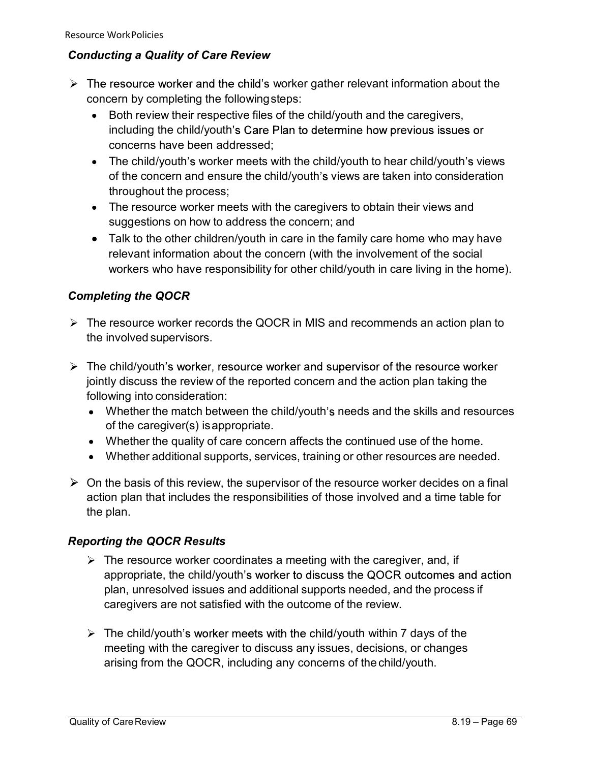## Conducting a Quality of Care Review

- $\triangleright$  The resource worker and the child's worker gather relevant information about the concern by completing the following steps:
	- Both review their respective files of the child/youth and the caregivers, including the child/youth's Care Plan to determine how previous issues or concerns have been addressed;
- The child/youth's worker meets with the child/youth to hear child/youth's views of the concern and ensure the child/youth's views are taken into consideration WorkPolicies<br> *WorkPolicies*<br>
resource worker and the child's worker gather relevant information about the<br>
term by completing the following steps:<br>
Both review their respective files of the child/youth and the caregivers, Example of Care Review<br>
The resource worker and the child's worker gather relevant information about the<br>
necessary end the completing the following steps:<br>
Both review their respective files of the child/youth and the car
	-
- WorkPolicies<br>
sting a Quality of Care Review<br>
resource worker and the child's worker gather relevant information about the<br>
Both review their respective files of the child/youth and the caregivers,<br>
Both review their respe WorkPolicies<br> *Thalk of Care Review*<br>
resource worker and the child's worker gather relevant information about the<br>
EBO for review their respective files of the child/youth and the caregivers,<br>
including the child/youth's relevant information about the concern (with the involvement of the social WorkPolicies<br> *workPolicies*<br>
resource worker and the child's worker gather relevant information about the<br>
cem by completing the following steps:<br>
Both review their respective files of the child/youth and the caregivers,<br> Free child/youth's worker meets with the child/youth's views are taken into consideration<br>throughout the process;<br>The resource worker meets with the caregivers to obtain their views and<br>suggestions on how to address the co mrougnout the process;<br>
The resource worker meets with the caregivers to obtain their views and<br>
suggestions on how to address the concern; and<br>
Talk to the other children/youth in care in the family care home who may have • Talk to the other children/youth in care in the family care home who may have<br>
relevant information about the concern (with the involvement of the social<br>
workers who have responsibility for other child/youth in care liv

## Completing the QOCR

- $\triangleright$  The resource worker records the QOCR in MIS and recommends an action plan to the involved supervisors.
- $\triangleright$  The child/youth's worker, resource worker and supervisor of the resource worker jointly discuss the review of the reported concern and the action plan taking the following into consideration: workers who have responsibility for other child/youth in care li<br> **mpleting the QOCR**<br>
The resource worker records the QOCR in MIS and recommends<br>
the involved supervisors.<br>
The child/youth's worker, resource worker and s
	- of the caregiver(s) is appropriate.
	-
	- Whether additional supports, services, training or other resources are needed.
- action plan that includes the responsibilities of those involved and a time table for

## Reporting the QOCR Results

- $\triangleright$  The resource worker coordinates a meeting with the caregiver, and, if appropriate, the child/youth's worker to discuss the QOCR outcomes and action plan, unresolved issues and additional supports needed, and the process if caregivers are not satisfied with the outcome of the review.
- $\triangleright$  The child/youth's worker meets with the child/youth within 7 days of the meeting with the caregiver to discuss any issues, decisions, or changes arising from the QOCR, including any concerns of the child/youth.